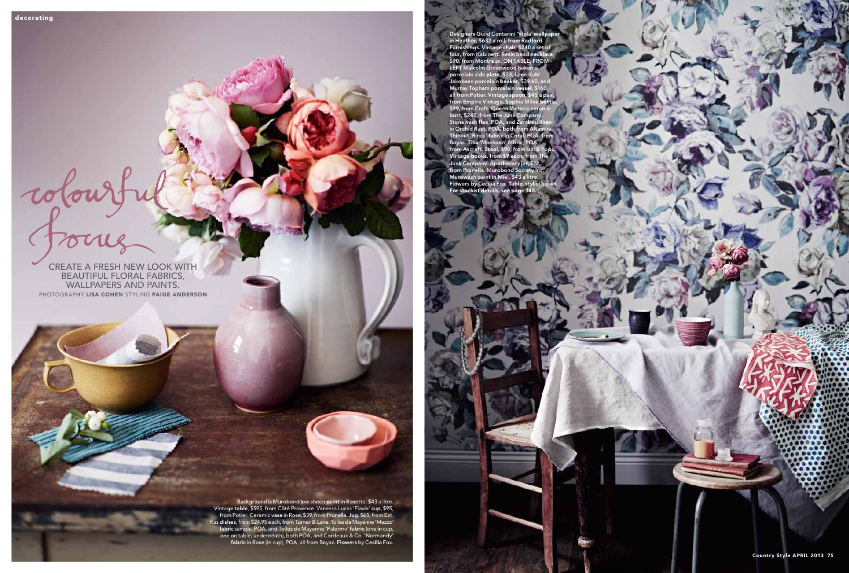create a fresh new look with beautiful floral fabrics,

Colourt

wallpapers and paints. Photography Lisa Cohen Styling Paige Anderson

> Background is Murobond low sheen paint in Rosette, \$43 a litre. Vintage table, \$595, from Côté Provence. Vanessa Lucas 'Flavia' cup, \$95, from Potier. Ceramic vase in Rose, \$39, from Prunella. Jug, \$65, from Est. Kas dishes, from \$24.95 each, from Turner & Lane. Toiles de Mayenne 'Mezzo' fabric sample, POA, and Toiles de Mayenne 'Palerme' fabric (one in cup, one on table, underneath), both POA, and Cordeaux & Co. 'Normandy' fabric in Rose (in cup), POA, all from Boyac. Flowers by Cecilia Fox.

Designers Guild Contarini 'Viola' wallpaper in Heather, \$632 a roll, from Radford Furnishings. Vintage chair, \$240 a set of four, from Kabinett. Resin bead necklace, \$90, from Montreux. ON TABLE, FROM LEFT Malcolm Greenwood hakeme porcelain side plate, \$33, Lene Kuhl Jakobsen porcelain beaker, \$39.60, and Murray Topham porcelain vessel, \$160, all from Potier. Vintage spoon, \$45 a pair, from Empire Vintage. Sophie Milne bottle, \$99, from Craft. Queen Victoria ceramic bust, \$245, from The Junk Company. Stonewash flax, POA, and Zambesi linen in Orchid Rust, POA, both from Altamira. Thibaut 'Rinca' fabric in Co Boyac. Tika 'Mor from Ascraft. Stool, \$90 Vintage books, from \$ Junk Company. Apotheca<br>from Prunella. Murobond from Prunella. Murobond Society Inc. Murowash paint in Miel, \$43 a litre. Flowers by Cecilia Fox. Table, stylist's own. For stockist details, see page 145.

Country Style APRIL 2013 75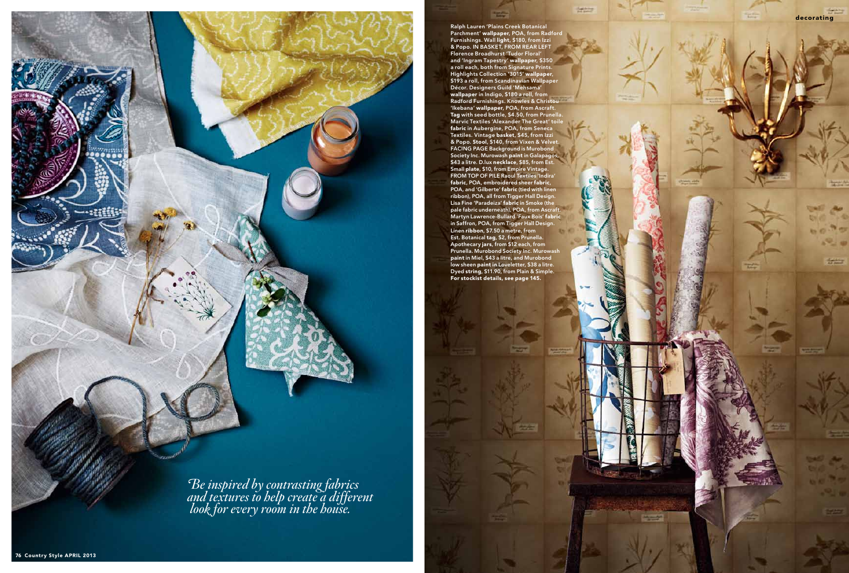

Ralph Lauren 'Plains Creek Botanical Parchment' wallpaper, POA, from Radford Furnishings. Wall light, \$180, from Izzi & Popo. IN BASKET, FROM REAR LEFT Florence Broadhurst 'Tudor Floral' and 'Ingram Tapestry' wallpaper, \$350 a roll each, both from Signature Prints. Highlights Collection '3015' wallpaper, \$193 a roll, from Scandinavian Wallpaper Décor. Designers Guild 'Mehsama' wallpaper in Indigo, \$180 a roll, from Radford Furnishings. Knowles & Christou 'Ikebana' wallpaper, POA, from Ascraft. Tag with seed bottle, \$4.50, from Prunella. Marvic Textiles 'Alexander The Great' toile fabric in Aubergine, POA, from Seneca Textiles. Vintage basket, \$45, from Izzi & Popo. Stool, \$140, from Vixen & Velvet. FACING PAGE Background is Murobond Society Inc. Murowash paint in Galapagos, \$43 a litre. D.lux necklace, \$85, from Est. Small plate, \$10, from Empire Vintage. FROM TOP OF PILE Raoul Textiles 'Indira' fabric, POA, embroidered sheer fabric, POA, and 'Gilberte' fabric (tied with linen ribbon), POA, all from Tigger Hall Design. Lisa Fine 'Paradeiza' fabric in Smoke (the pale fabric underneath), POA, from Ascraft. Martyn Lawrence-Bullard 'Faux Bois' fabric in Saffron, POA, from Tigger Hall Design. Linen ribbon, \$7.50 a metre, from Est. Botanical tag, \$2, from Prunella. Apothecary jars, from \$12 each, from Prunella. Murobond Society Inc. Murowash paint in Miel, \$43 a litre, and Murobond low sheen paint in Loveletter, \$38 a litre. Dyed string, \$11.90, from Plain & Simple. For stockist details, see page 145.